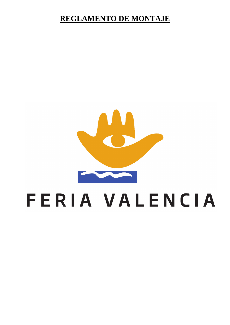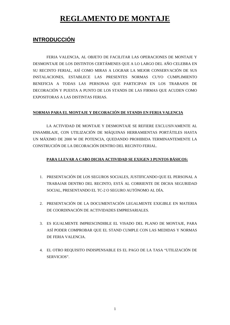### **INTRODUCCIÓN**

 FERIA VALENCIA, AL OBJETO DE FACILITAR LAS OPERACIONES DE MONTAJE Y DESMONTAJE DE LOS DISTINTOS CERTÁMENES QUE A LO LARGO DEL AÑO CELEBRA EN SU RECINTO FERIAL, ASÍ COMO MIRAS A LOGRAR LA MEJOR CONSERVACIÓN DE SUS INSTALACIONES, ESTABLECE LAS PRESENTES NORMAS CUYO CUMPLIMIENTO BENEFICIA A TODAS LAS PERSONAS QUE PARTICIPAN EN LOS TRABAJOS DE DECORACIÓN Y PUESTA A PUNTO DE LOS STANDS DE LAS FIRMAS QUE ACUDEN COMO EXPOSITORAS A LAS DISTINTAS FERIAS.

#### **NORMAS PARA EL MONTAJE Y DECORACIÓN DE STANDS EN FERIA VALENCIA**

LA ACTIVIDAD DE MONTAJE Y DESMONTAJE SE REFIERE EXCLUSIVAMENTE AL ENSAMBLAJE, CON UTILIZACIÓN DE MÁQUINAS HERRAMIENTAS PORTÁTILES HASTA UN MÁXIMO DE 2000 W DE POTENCIA, QUEDANDO PROHIBIDA TERMINANTEMENTE LA CONSTRUCIÓN DE LA DECORACIÓN DENTRO DEL RECINTO FERIAL.

#### **PARA LLEVAR A CABO DICHA ACTIVIDAD SE EXIGEN 3 PUNTOS BÁSICOS:**

- 1. PRESENTACIÓN DE LOS SEGUROS SOCIALES, JUSTIFICANDO QUE EL PERSONAL A TRABAJAR DENTRO DEL RECINTO, ESTÁ AL CORRIENTE DE DICHA SEGURIDAD SOCIAL, PRESENTANDO EL TC-2 O SEGURO AUTÓNOMO AL DÍA.
- 2. PRESENTACIÓN DE LA DOCUMENTACIÓN LEGALMENTE EXIGIBLE EN MATERIA DE COORDINACIÓN DE ACTIVIDADES EMPRESARIALES.
- 3. ES IGUALMENTE IMPRESCINDIBLE EL VISADO DEL PLANO DE MONTAJE, PARA ASÍ PODER COMPROBAR QUE EL STAND CUMPLE CON LAS MEDIDAS Y NORMAS DE FERIA VALENCIA.
- 4. EL OTRO REQUISITO INDISPENSABLE ES EL PAGO DE LA TASA "UTILIZACIÓN DE SERVICIOS".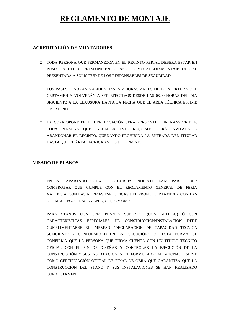#### **ACREDITACIÓN DE MONTADORES**

- TODA PERSONA QUE PERMANEZCA EN EL RECINTO FERIAL DEBERA ESTAR EN POSESIÓN DEL CORRESPONDIENTE PASE DE MOTAJE-DESMONTAJE QUE SE PRESENTARA A SOLICITUD DE LOS RESPONSABLES DE SEGURIDAD.
- LOS PASES TENDRÁN VALIDEZ HASTA 2 HORAS ANTES DE LA APERTURA DEL CERTAMEN Y VOLVERÁN A SER EFECTIVOS DESDE LAS 08.00 HORAS DEL DÍA SIGUIENTE A LA CLAUSURA HASTA LA FECHA QUE EL AREA TÉCNICA ESTIME OPORTUNO.
- LA CORRESPONDIENTE IDENTIFICACIÓN SERA PERSONAL E INTRANSFERIBLE. TODA PERSONA QUE INCUMPLA ESTE REQUISITO SERÁ INVITADA A ABANDONAR EL RECINTO, QUEDANDO PROHIBIDA LA ENTRADA DEL TITULAR HASTA QUE EL ÁREA TÉCNICA ASÍ LO DETERMINE.

#### **VISADO DE PLANOS**

- EN ESTE APARTADO SE EXIGE EL CORRESPONDIENTE PLANO PARA PODER COMPROBAR QUE CUMPLE CON EL REGLAMENTO GENERAL DE FERIA VALENCIA, CON LAS NORMAS ESPECÍFICAS DEL PROPIO CERTAMEN Y CON LAS NORMAS RECOGIDAS EN LPRL, CPI, 96 Y OMPI.
- PARA STANDS CON UNA PLANTA SUPERIOR (CON ALTILLO) Ó CON CARACTERÍSTICAS ESPECIALES DE CONSTRUCCIÓN/INSTALACIÓN DEBE CUMPLIMENTARSE EL IMPRESO "DECLARACIÓN DE CAPACIDAD TÉCNICA SUFICIENTE Y CONFORMIDAD EN LA EJECUCIÓN". DE ESTA FORMA, SE CONFIRMA QUE LA PERSONA QUE FIRMA CUENTA CON UN TÍTULO TÉCNICO OFICIAL CON EL FIN DE DISEÑAR Y CONTROLAR LA EJECUCIÓN DE LA CONSTRUCCIÓN Y SUS INSTALACIONES. EL FORMULARIO MENCIONADO SIRVE COMO CERTIFICACIÓN OFICIAL DE FINAL DE OBRA QUE GARANTIZA QUE LA CONSTRUCCIÓN DEL STAND Y SUS INSTALACIONES SE HAN REALIZADO CORRECTAMENTE.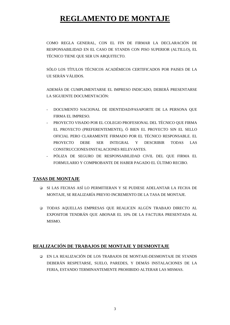COMO REGLA GENERAL, CON EL FIN DE FIRMAR LA DECLARACIÓN DE RESPONSABILIDAD EN EL CASO DE STANDS CON PISO SUPERIOR (ALTILLO), EL TÉCNICO TIENE QUE SER UN ARQUITECTO.

SÓLO LOS TÍTULOS TÉCNICOS ACADÉMICOS CERTIFICADOS POR PAISES DE LA UE SERÁN VÁLIDOS.

ADEMÁS DE CUMPLIMENTARSE EL IMPRESO INDICADO, DEBERÁ PRESENTARSE LA SIGUIENTE DOCUMENTACIÓN:

- DOCUMENTO NACIONAL DE IDENTIDAD/PASAPORTE DE LA PERSONA QUE FIRMA EL IMPRESO.
- PROYECTO VISADO POR EL COLEGIO PROFESIONAL DEL TÉCNICO QUE FIRMA EL PROYECTO (PREFERENTEMENTE), Ó BIEN EL PROYECTO SIN EL SELLO OFICIAL PERO CLARAMENTE FIRMADO POR EL TÉCNICO RESPONSABLE. EL PROYECTO DEBE SER INTEGRAL Y DESCRIBIR TODAS LAS CONSTRUCCIONES/INSTALACIONES RELEVANTES.
- PÓLIZA DE SEGURO DE RESPONSABILIDAD CIVIL DEL QUE FIRMA EL FORMULARIO Y COMPROBANTE DE HABER PAGADO EL ÚLTIMO RECIBO.

#### **TASAS DE MONTAJE**

- SI LAS FECHAS ASÍ LO PERMITIERAN Y SE PUDIESE ADELANTAR LA FECHA DE MONTAJE, SE REALIZARÍA PREVIO INCREMENTO DE LA TASA DE MONTAJE.
- TODAS AQUELLAS EMPRESAS QUE REALICEN ALGÚN TRABAJO DIRECTO AL EXPOSITOR TENDRÁN QUE ABONAR EL 10% DE LA FACTURA PRESENTADA AL MISMO.

#### **REALIZACIÓN DE TRABAJOS DE MONTAJE Y DESMONTAJE**

 EN LA REALIZACIÓN DE LOS TRABAJOS DE MONTAJE-DESMONTAJE DE STANDS DEBERÁN RESPETARSE, SUELO, PAREDES, Y DEMÁS INSTALACIONES DE LA FERIA, ESTANDO TERMINANTEMENTE PROHIBIDO ALTERAR LAS MISMAS.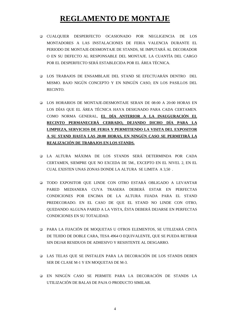- CUALQUIER DESPERFECTO OCASIONADO POR NEGLIGENCIA DE LOS MONTADORES A LAS INSTALACIONES DE FERIA VALENCIA DURANTE EL PERIODO DE MONTAJE-DESMONTAJE DE STANDS, SE IMPUTARÁ AL DECORADOR O EN SU DEFECTO AL RESPONSABLE DEL MONTAJE. LA CUANTÍA DEL CARGO POR EL DESPERFECTO SERÁ ESTABLECIDA POR EL ÁREA TÉCNICA.
- LOS TRABAJOS DE ENSAMBLAJE DEL STAND SE EFECTUARÁN DENTRO DEL MISMO. BAJO NIGÚN CONCEPTO Y EN NINGÚN CASO, EN LOS PASILLOS DEL RECINTO.
- LOS HORARIOS DE MONTAJE-DESMONTAJE SERAN DE 08:00 A 20:00 HORAS EN LOS DÍAS QUE EL ÁREA TÉCNICA HAYA DESIGNADO PARA CADA CERTAMEN. COMO NORMA GENERAL, **EL DÍA ANTERIOR A LA INAUGURACIÓN EL RECINTO PERMANECERÁ CERRADO, DEJANDO DICHO DÍA PARA LA LIMPIEZA, SERVICIOS DE FERIA Y PERMITIENDO LA VISITA DEL EXPOSITOR A SU STAND HASTA LAS 20:00 HORAS, EN NINGÚN CASO SE PERMITIRÁ LA REALIZACIÓN DE TRABAJOS EN LOS STANDS.**
- LA ALTURA MÁXIMA DE LOS STANDS SERÁ DETERMINDA POR CADA CERTAMEN, SIEMPRE QUE NO EXCEDA DE 5M., EXCEPTO EN EL NIVEL 2, EN EL CUAL EXISTEN UNAS ZONAS DONDE LA ALTURA SE LIMITA A 3,50 .
- TODO EXPOSITOR QUE LINDE CON OTRO ESTARÁ OBLIGADO A LEVANTAR PARED MEDIANERA CUYA TRASERA DEBERÁ ESTAR EN PERFECTAS CONDICIONES POR ENCIMA DE LA ALTURA FIJADA PARA EL STAND PREDECORADO. EN EL CASO DE QUE EL STAND NO LINDE CON OTRO, QUEDANDO ALGUNA PARED A LA VISTA, ÉSTA DEBERÁ DEJARSE EN PERFECTAS CONDICIONES EN SU TOTALIDAD.
- PARA LA FIJACIÓN DE MOQUETAS U OTROS ELEMENTOS, SE UTILIZARÁ CINTA DE TEJIDO DE DOBLE CARA, TESA 4964 O EQUIVALENTE, QUE SE PUEDA RETIRAR SIN DEJAR RESIDUOS DE ADHESIVO Y RESISTENTE AL DESGARRO.
- LAS TELAS QUE SE INSTALEN PARA LA DECORACIÓN DE LOS STANDS DEBEN SER DE CLASE M-1 Y EN MOQUETAS DE M-3.
- EN NINGÚN CASO SE PERMITE PARA LA DECORACIÓN DE STANDS LA UTILIZACIÓN DE BALAS DE PAJA O PRODUCTO SIMILAR.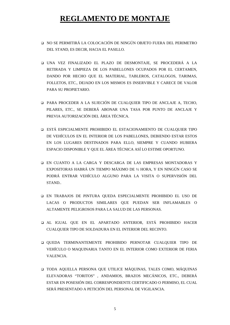- NO SE PERMITIRÁ LA COLOCACIÓN DE NINGÚN OBJETO FUERA DEL PERIMETRO DEL STAND, ES DECIR, HACIA EL PASILLO.
- UNA VEZ FINALIZADO EL PLAZO DE DESMONTAJE, SE PROCEDERÁ A LA RETIRADA Y LIMPIEZA DE LOS PABELLONES OCUPADOS POR EL CERTAMEN, DANDO POR HECHO QUE EL MATERIAL, TABLEROS, CATALOGOS, TARIMAS, FOLLETOS, ETC., DEJADO EN LOS MISMOS ES INSERVIBLE Y CARECE DE VALOR PARA SU PROPIETARIO.
- PARA PROCEDER A LA SUJECIÓN DE CUALQUIER TIPO DE ANCLAJE A, TECHO, PILARES, ETC., SE DEBERÁ ABONAR UNA TASA POR PUNTO DE ANCLAJE Y PREVIA AUTORIZACIÓN DEL ÁREA TÉCNICA.
- ESTÁ ESPICIALMENTE PROHIBIDO EL ESTACIONAMIENTO DE CUALQUIER TIPO DE VEHÍCULOS EN EL INTERIOR DE LOS PABELLONES, DEBIENDO ESTAR ESTOS EN LOS LUGARES DESTINADOS PARA ELLO, SIEMPRE Y CUANDO HUBIERA ESPACIO DISPONIBLE Y QUE EL ÁREA TÉCNICA ASÍ LO ESTIME OPORTUNO.
- EN CUANTO A LA CARGA Y DESCARGA DE LAS EMPRESAS MONTADORAS Y EXPOSITORAS HABRÁ UN TIEMPO MÁXIMO DE ½ HORA, Y EN NINGÚN CASO SE PODRÁ ENTRAR VEHÍCULO ALGUNO PARA LA VISITA O SUPERVISIÓN DEL STAND..
- EN TRABAJOS DE PINTURA QUEDA ESPECIALMENTE PROHIBIDO EL USO DE LACAS O PRODUCTOS SIMILARES QUE PUEDAN SER INFLAMABLES O ALTAMENTE PELIGROSOS PARA LA SALUD DE LAS PERSONAS.
- AL IGUAL QUE EN EL APARTADO ANTERIOR, ESTÁ PROHIBIDO HACER CUALQUIER TIPO DE SOLDADURA EN EL INTERIOR DEL RECINTO.
- QUEDA TERMINANTEMENTE PROHIBIDO PERNOTAR CUALQUIER TIPO DE VEHÍCULO O MAQUINARIA TANTO EN EL INTERIOR COMO EXTERIOR DE FERIA VALENCIA.
- TODA AQUELLA PERSONA QUE UTILICE MÁQUINAS, TALES COMO, MÁQUINAS ELEVADORAS "TORITOS" , ANDAMIOS, BRAZOS MECÁNICOS, ETC., DEBERÁ ESTAR EN POSESIÓN DEL CORRESPONDIENTE CERTIFICADO O PERMISO, EL CUAL SERÁ PRESENTADO A PETICIÓN DEL PERSONAL DE VIGILANCIA.